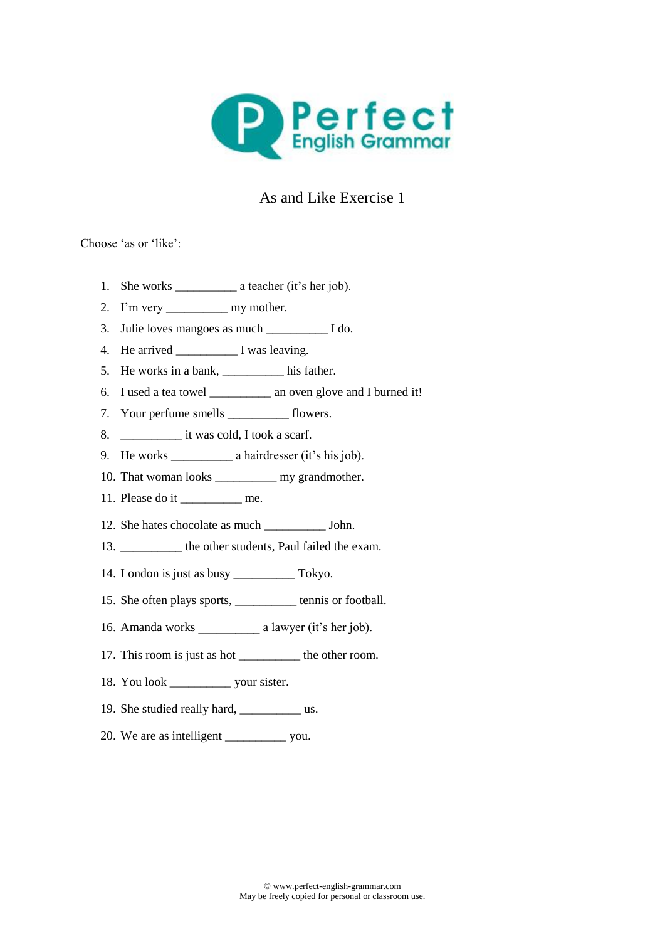

## As and Like Exercise 1

Choose 'as or 'like':

- 1. She works \_\_\_\_\_\_\_\_\_\_ a teacher (it's her job).
- 2. I'm very \_\_\_\_\_\_\_\_\_\_\_\_\_\_ my mother.
- 3. Julie loves mangoes as much \_\_\_\_\_\_\_\_\_\_ I do.
- 4. He arrived I was leaving.
- 5. He works in a bank, \_\_\_\_\_\_\_\_\_\_ his father.
- 6. I used a tea towel \_\_\_\_\_\_\_\_\_\_ an oven glove and I burned it!
- 7. Your perfume smells flowers.
- 8.  $\qquad \qquad$  it was cold, I took a scarf.
- 9. He works \_\_\_\_\_\_\_\_\_\_ a hairdresser (it's his job).
- 10. That woman looks \_\_\_\_\_\_\_\_\_\_ my grandmother.
- 11. Please do it me.
- 12. She hates chocolate as much \_\_\_\_\_\_\_\_\_\_ John.
- 13. \_\_\_\_\_\_\_\_\_\_ the other students, Paul failed the exam.
- 14. London is just as busy \_\_\_\_\_\_\_\_\_\_ Tokyo.
- 15. She often plays sports, tennis or football.
- 16. Amanda works a lawyer (it's her job).
- 17. This room is just as hot \_\_\_\_\_\_\_\_\_\_ the other room.
- 18. You look your sister.
- 19. She studied really hard, we usually hard, we usually hard, we use  $\frac{1}{2}$  us.
- 20. We are as intelligent \_\_\_\_\_\_\_\_\_ you.